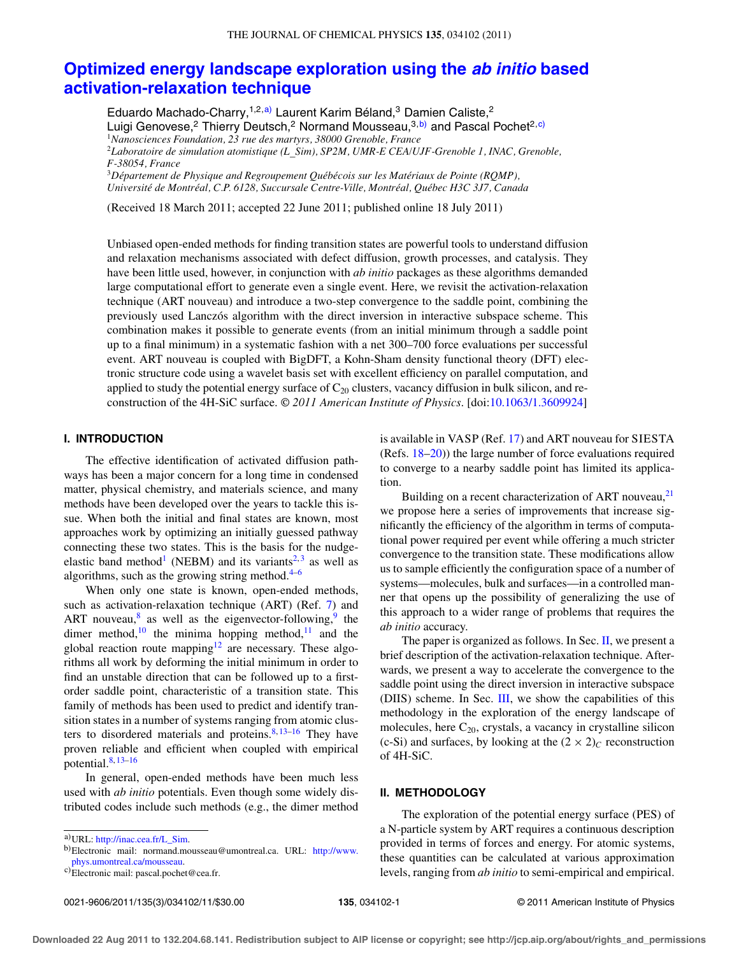# **[Optimized energy landscape exploration using the](http://dx.doi.org/10.1063/1.3609924) ab initio based [activation-relaxation technique](http://dx.doi.org/10.1063/1.3609924)**

Eduardo Machado-Charry,<sup>1,2[,a\)](#page-0-0)</sup> Laurent Karim Béland,<sup>3</sup> Damien Caliste,<sup>2</sup> Luigi Genovese,<sup>2</sup> Thierry Deutsch,<sup>2</sup> Normand Mousseau,<sup>3[,b\)](#page-0-1)</sup> and Pascal Pochet<sup>2[,c\)](#page-0-2)</sup>

<sup>1</sup>*Nanosciences Foundation, 23 rue des martyrs, 38000 Grenoble, France*

<sup>2</sup>*Laboratoire de simulation atomistique (L\_Sim), SP2M, UMR-E CEA/UJF-Grenoble 1, INAC, Grenoble, F-38054, France*

<sup>3</sup>*Département de Physique and Regroupement Québécois sur les Matériaux de Pointe (RQMP), Université de Montréal, C.P. 6128, Succursale Centre-Ville, Montréal, Québec H3C 3J7, Canada*

(Received 18 March 2011; accepted 22 June 2011; published online 18 July 2011)

Unbiased open-ended methods for finding transition states are powerful tools to understand diffusion and relaxation mechanisms associated with defect diffusion, growth processes, and catalysis. They have been little used, however, in conjunction with *ab initio* packages as these algorithms demanded large computational effort to generate even a single event. Here, we revisit the activation-relaxation technique (ART nouveau) and introduce a two-step convergence to the saddle point, combining the previously used Lanczós algorithm with the direct inversion in interactive subspace scheme. This combination makes it possible to generate events (from an initial minimum through a saddle point up to a final minimum) in a systematic fashion with a net 300–700 force evaluations per successful event. ART nouveau is coupled with BigDFT, a Kohn-Sham density functional theory (DFT) electronic structure code using a wavelet basis set with excellent efficiency on parallel computation, and applied to study the potential energy surface of  $C_{20}$  clusters, vacancy diffusion in bulk silicon, and reconstruction of the 4H-SiC surface. *© 2011 American Institute of Physics*. [doi[:10.1063/1.3609924\]](http://dx.doi.org/10.1063/1.3609924)

## **I. INTRODUCTION**

The effective identification of activated diffusion pathways has been a major concern for a long time in condensed matter, physical chemistry, and materials science, and many methods have been developed over the years to tackle this issue. When both the initial and final states are known, most approaches work by optimizing an initially guessed pathway connecting these two states. This is the basis for the nudge-elastic band method<sup>1</sup> (NEBM) and its variants<sup>[2,](#page-10-1)[3](#page-10-2)</sup> as well as algorithms, such as the growing string method. $4-6$  $4-6$ 

When only one state is known, open-ended methods, such as activation-relaxation technique (ART) (Ref. [7\)](#page-10-5) and ART nouveau, $8$  as well as the eigenvector-following, the dimer method,<sup>[10](#page-10-8)</sup> the minima hopping method,<sup>[11](#page-10-9)</sup> and the global reaction route mapping<sup>12</sup> are necessary. These algorithms all work by deforming the initial minimum in order to find an unstable direction that can be followed up to a firstorder saddle point, characteristic of a transition state. This family of methods has been used to predict and identify transition states in a number of systems ranging from atomic clusters to disordered materials and proteins.  $8,13-16$  $8,13-16$  $8,13-16$  They have proven reliable and efficient when coupled with empirical potential. $8,13-16$  $8,13-16$  $8,13-16$ 

In general, open-ended methods have been much less used with *ab initio* potentials. Even though some widely distributed codes include such methods (e.g., the dimer method

0021-9606/2011/135(3)/034102/11/\$30.00 © 2011 American Institute of Physics **135**, 034102-1

is available in VASP (Ref. [17\)](#page-10-13) and ART nouveau for SIESTA (Refs. [18](#page-10-14)[–20\)](#page-10-15)) the large number of force evaluations required to converge to a nearby saddle point has limited its application.

Building on a recent characterization of ART nouveau,<sup>21</sup> we propose here a series of improvements that increase significantly the efficiency of the algorithm in terms of computational power required per event while offering a much stricter convergence to the transition state. These modifications allow us to sample efficiently the configuration space of a number of systems—molecules, bulk and surfaces—in a controlled manner that opens up the possibility of generalizing the use of this approach to a wider range of problems that requires the *ab initio* accuracy.

The paper is organized as follows. In Sec. [II,](#page-0-3) we present a brief description of the activation-relaxation technique. Afterwards, we present a way to accelerate the convergence to the saddle point using the direct inversion in interactive subspace (DIIS) scheme. In Sec.  $III$ , we show the capabilities of this methodology in the exploration of the energy landscape of molecules, here  $C_{20}$ , crystals, a vacancy in crystalline silicon (c-Si) and surfaces, by looking at the  $(2 \times 2)_C$  reconstruction of 4H-SiC.

#### <span id="page-0-3"></span>**II. METHODOLOGY**

The exploration of the potential energy surface (PES) of a N-particle system by ART requires a continuous description provided in terms of forces and energy. For atomic systems, these quantities can be calculated at various approximation levels, ranging from *ab initio* to semi-empirical and empirical.

<span id="page-0-1"></span>

<span id="page-0-0"></span>a)URL: [http://inac.cea.fr/L\\_Sim.](http://inac.cea.fr/L_Sim) b)Electronic mail: normand.mousseau@umontreal.ca. URL: [http://www.](http://www.phys.umontreal.ca/mousseau) [phys.umontreal.ca/mousseau.](http://www.phys.umontreal.ca/mousseau)<br><sup>c)</sup>Electronic mail: pascal.pochet@cea.fr.

<span id="page-0-2"></span>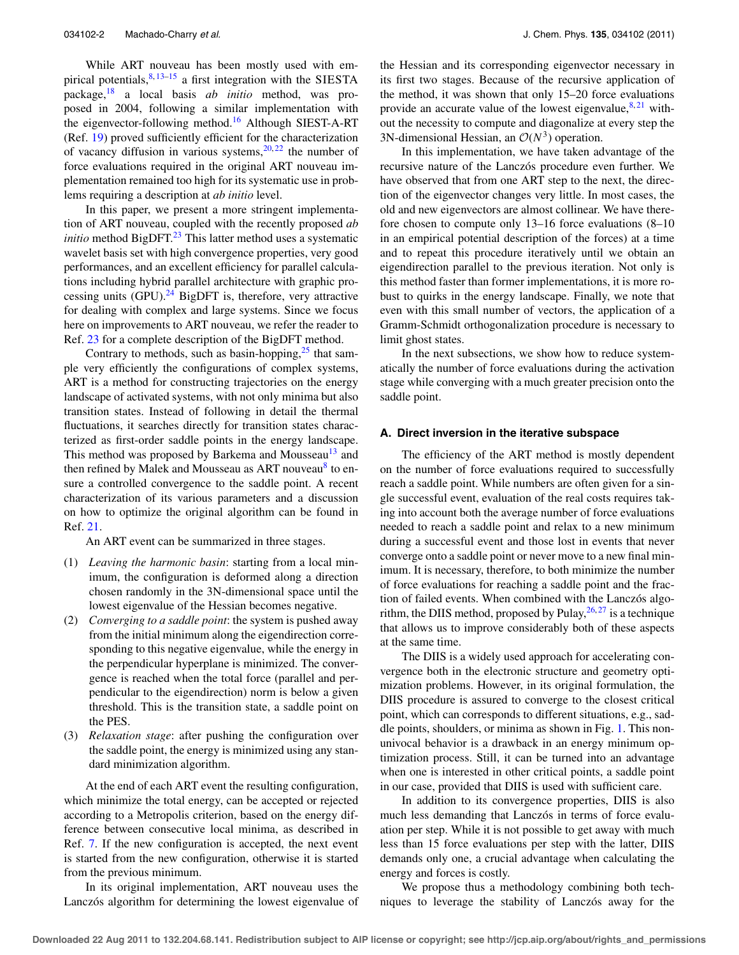While ART nouveau has been mostly used with empirical potentials,  $8, 13-15$  $8, 13-15$  $8, 13-15$  $8, 13-15$  a first integration with the SIESTA package[,18](#page-10-14) a local basis *ab initio* method, was proposed in 2004, following a similar implementation with the eigenvector-following method.<sup>[16](#page-10-12)</sup> Although SIEST-A-RT (Ref. [19\)](#page-10-18) proved sufficiently efficient for the characterization of vacancy diffusion in various systems,  $20, 22$  $20, 22$  $20, 22$  the number of force evaluations required in the original ART nouveau implementation remained too high for its systematic use in problems requiring a description at *ab initio* level.

In this paper, we present a more stringent implementation of ART nouveau, coupled with the recently proposed *ab initio* method BigDFT.<sup>[23](#page-10-20)</sup> This latter method uses a systematic wavelet basis set with high convergence properties, very good performances, and an excellent efficiency for parallel calculations including hybrid parallel architecture with graphic processing units  $(GPU)$ .<sup>24</sup> BigDFT is, therefore, very attractive for dealing with complex and large systems. Since we focus here on improvements to ART nouveau, we refer the reader to Ref. [23](#page-10-20) for a complete description of the BigDFT method.

Contrary to methods, such as basin-hopping, $25$  that sample very efficiently the configurations of complex systems, ART is a method for constructing trajectories on the energy landscape of activated systems, with not only minima but also transition states. Instead of following in detail the thermal fluctuations, it searches directly for transition states characterized as first-order saddle points in the energy landscape. This method was proposed by Barkema and Mousseau<sup>13</sup> and then refined by Malek and Mousseau as ART nouveau<sup>[8](#page-10-6)</sup> to ensure a controlled convergence to the saddle point. A recent characterization of its various parameters and a discussion on how to optimize the original algorithm can be found in Ref. [21.](#page-10-16)

An ART event can be summarized in three stages.

- (1) *Leaving the harmonic basin*: starting from a local minimum, the configuration is deformed along a direction chosen randomly in the 3N-dimensional space until the lowest eigenvalue of the Hessian becomes negative.
- (2) *Converging to a saddle point*: the system is pushed away from the initial minimum along the eigendirection corresponding to this negative eigenvalue, while the energy in the perpendicular hyperplane is minimized. The convergence is reached when the total force (parallel and perpendicular to the eigendirection) norm is below a given threshold. This is the transition state, a saddle point on the PES.
- (3) *Relaxation stage*: after pushing the configuration over the saddle point, the energy is minimized using any standard minimization algorithm.

At the end of each ART event the resulting configuration, which minimize the total energy, can be accepted or rejected according to a Metropolis criterion, based on the energy difference between consecutive local minima, as described in Ref. [7.](#page-10-5) If the new configuration is accepted, the next event is started from the new configuration, otherwise it is started from the previous minimum.

In its original implementation, ART nouveau uses the Lanczós algorithm for determining the lowest eigenvalue of the Hessian and its corresponding eigenvector necessary in its first two stages. Because of the recursive application of the method, it was shown that only 15–20 force evaluations provide an accurate value of the lowest eigenvalue,  $8,21$  $8,21$  without the necessity to compute and diagonalize at every step the 3N-dimensional Hessian, an  $O(N^3)$  operation.

In this implementation, we have taken advantage of the recursive nature of the Lanczós procedure even further. We have observed that from one ART step to the next, the direction of the eigenvector changes very little. In most cases, the old and new eigenvectors are almost collinear. We have therefore chosen to compute only 13–16 force evaluations (8–10 in an empirical potential description of the forces) at a time and to repeat this procedure iteratively until we obtain an eigendirection parallel to the previous iteration. Not only is this method faster than former implementations, it is more robust to quirks in the energy landscape. Finally, we note that even with this small number of vectors, the application of a Gramm-Schmidt orthogonalization procedure is necessary to limit ghost states.

In the next subsections, we show how to reduce systematically the number of force evaluations during the activation stage while converging with a much greater precision onto the saddle point.

# **A. Direct inversion in the iterative subspace**

The efficiency of the ART method is mostly dependent on the number of force evaluations required to successfully reach a saddle point. While numbers are often given for a single successful event, evaluation of the real costs requires taking into account both the average number of force evaluations needed to reach a saddle point and relax to a new minimum during a successful event and those lost in events that never converge onto a saddle point or never move to a new final minimum. It is necessary, therefore, to both minimize the number of force evaluations for reaching a saddle point and the fraction of failed events. When combined with the Lanczós algorithm, the DIIS method, proposed by Pulay,  $26, 27$  $26, 27$  $26, 27$  is a technique that allows us to improve considerably both of these aspects at the same time.

The DIIS is a widely used approach for accelerating convergence both in the electronic structure and geometry optimization problems. However, in its original formulation, the DIIS procedure is assured to converge to the closest critical point, which can corresponds to different situations, e.g., saddle points, shoulders, or minima as shown in Fig. [1.](#page-2-0) This nonunivocal behavior is a drawback in an energy minimum optimization process. Still, it can be turned into an advantage when one is interested in other critical points, a saddle point in our case, provided that DIIS is used with sufficient care.

In addition to its convergence properties, DIIS is also much less demanding that Lanczós in terms of force evaluation per step. While it is not possible to get away with much less than 15 force evaluations per step with the latter, DIIS demands only one, a crucial advantage when calculating the energy and forces is costly.

We propose thus a methodology combining both techniques to leverage the stability of Lanczós away for the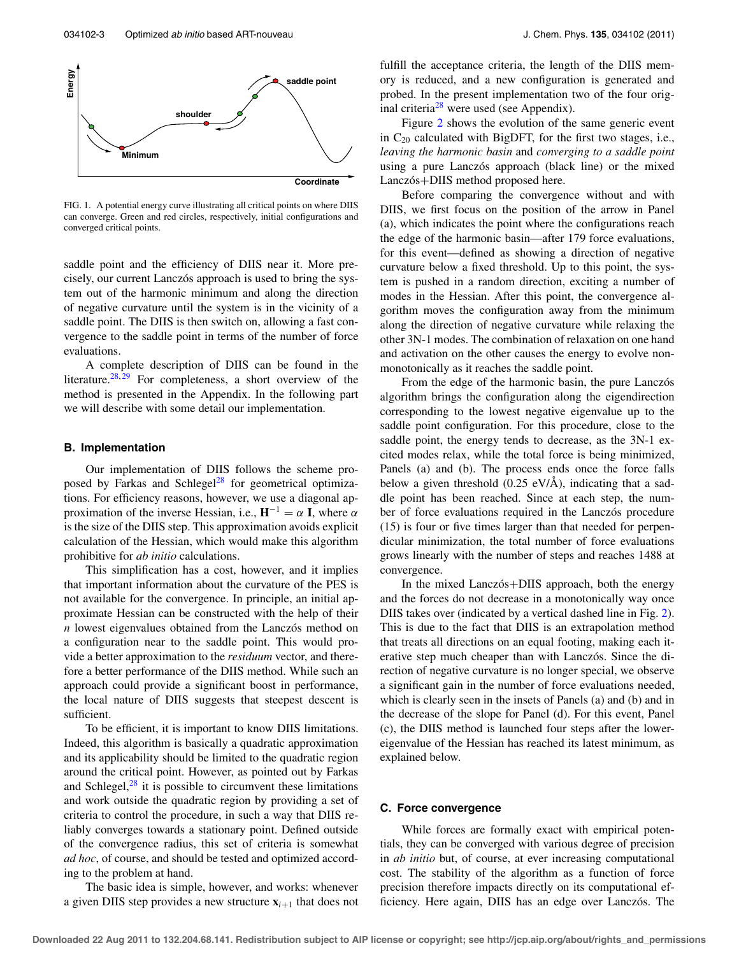<span id="page-2-0"></span>

FIG. 1. A potential energy curve illustrating all critical points on where DIIS can converge. Green and red circles, respectively, initial configurations and converged critical points.

saddle point and the efficiency of DIIS near it. More precisely, our current Lanczós approach is used to bring the system out of the harmonic minimum and along the direction of negative curvature until the system is in the vicinity of a saddle point. The DIIS is then switch on, allowing a fast convergence to the saddle point in terms of the number of force evaluations.

A complete description of DIIS can be found in the literature. $28, 29$  $28, 29$  $28, 29$  For completeness, a short overview of the method is presented in the Appendix. In the following part we will describe with some detail our implementation.

#### **B. Implementation**

Our implementation of DIIS follows the scheme pro-posed by Farkas and Schlegel<sup>[28](#page-10-25)</sup> for geometrical optimizations. For efficiency reasons, however, we use a diagonal approximation of the inverse Hessian, i.e.,  $H^{-1} = \alpha I$ , where  $\alpha$ is the size of the DIIS step. This approximation avoids explicit calculation of the Hessian, which would make this algorithm prohibitive for *ab initio* calculations.

This simplification has a cost, however, and it implies that important information about the curvature of the PES is not available for the convergence. In principle, an initial approximate Hessian can be constructed with the help of their *n* lowest eigenvalues obtained from the Lanczós method on a configuration near to the saddle point. This would provide a better approximation to the *residuum* vector, and therefore a better performance of the DIIS method. While such an approach could provide a significant boost in performance, the local nature of DIIS suggests that steepest descent is sufficient.

To be efficient, it is important to know DIIS limitations. Indeed, this algorithm is basically a quadratic approximation and its applicability should be limited to the quadratic region around the critical point. However, as pointed out by Farkas and Schlegel, $^{28}$  $^{28}$  $^{28}$  it is possible to circumvent these limitations and work outside the quadratic region by providing a set of criteria to control the procedure, in such a way that DIIS reliably converges towards a stationary point. Defined outside of the convergence radius, this set of criteria is somewhat *ad hoc*, of course, and should be tested and optimized according to the problem at hand.

The basic idea is simple, however, and works: whenever a given DIIS step provides a new structure  $\mathbf{x}_{i+1}$  that does not fulfill the acceptance criteria, the length of the DIIS memory is reduced, and a new configuration is generated and probed. In the present implementation two of the four original criteria<sup>28</sup> were used (see Appendix).

Figure [2](#page-3-0) shows the evolution of the same generic event in  $C_{20}$  calculated with BigDFT, for the first two stages, i.e., *leaving the harmonic basin* and *converging to a saddle point* using a pure Lanczós approach (black line) or the mixed Lanczós+DIIS method proposed here.

Before comparing the convergence without and with DIIS, we first focus on the position of the arrow in Panel (a), which indicates the point where the configurations reach the edge of the harmonic basin—after 179 force evaluations, for this event—defined as showing a direction of negative curvature below a fixed threshold. Up to this point, the system is pushed in a random direction, exciting a number of modes in the Hessian. After this point, the convergence algorithm moves the configuration away from the minimum along the direction of negative curvature while relaxing the other 3N-1 modes. The combination of relaxation on one hand and activation on the other causes the energy to evolve nonmonotonically as it reaches the saddle point.

From the edge of the harmonic basin, the pure Lanczós algorithm brings the configuration along the eigendirection corresponding to the lowest negative eigenvalue up to the saddle point configuration. For this procedure, close to the saddle point, the energy tends to decrease, as the 3N-1 excited modes relax, while the total force is being minimized, Panels (a) and (b). The process ends once the force falls below a given threshold  $(0.25 \text{ eV/A})$ , indicating that a saddle point has been reached. Since at each step, the number of force evaluations required in the Lanczós procedure (15) is four or five times larger than that needed for perpendicular minimization, the total number of force evaluations grows linearly with the number of steps and reaches 1488 at convergence.

In the mixed Lanczós+DIIS approach, both the energy and the forces do not decrease in a monotonically way once DIIS takes over (indicated by a vertical dashed line in Fig. [2\)](#page-3-0). This is due to the fact that DIIS is an extrapolation method that treats all directions on an equal footing, making each iterative step much cheaper than with Lanczós. Since the direction of negative curvature is no longer special, we observe a significant gain in the number of force evaluations needed, which is clearly seen in the insets of Panels (a) and (b) and in the decrease of the slope for Panel (d). For this event, Panel (c), the DIIS method is launched four steps after the lowereigenvalue of the Hessian has reached its latest minimum, as explained below.

# **C. Force convergence**

While forces are formally exact with empirical potentials, they can be converged with various degree of precision in *ab initio* but, of course, at ever increasing computational cost. The stability of the algorithm as a function of force precision therefore impacts directly on its computational efficiency. Here again, DIIS has an edge over Lanczós. The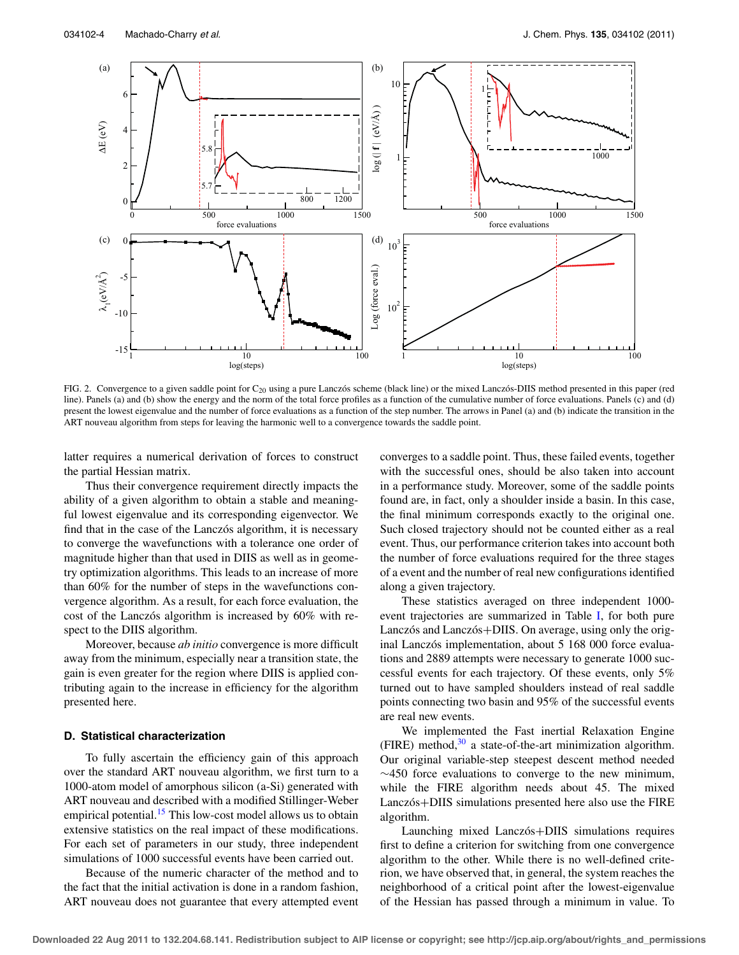<span id="page-3-0"></span>

FIG. 2. Convergence to a given saddle point for  $C_{20}$  using a pure Lanczós scheme (black line) or the mixed Lanczós-DIIS method presented in this paper (red line). Panels (a) and (b) show the energy and the norm of the total force profiles as a function of the cumulative number of force evaluations. Panels (c) and (d) present the lowest eigenvalue and the number of force evaluations as a function of the step number. The arrows in Panel (a) and (b) indicate the transition in the ART nouveau algorithm from steps for leaving the harmonic well to a convergence towards the saddle point.

latter requires a numerical derivation of forces to construct the partial Hessian matrix.

Thus their convergence requirement directly impacts the ability of a given algorithm to obtain a stable and meaningful lowest eigenvalue and its corresponding eigenvector. We find that in the case of the Lanczós algorithm, it is necessary to converge the wavefunctions with a tolerance one order of magnitude higher than that used in DIIS as well as in geometry optimization algorithms. This leads to an increase of more than 60% for the number of steps in the wavefunctions convergence algorithm. As a result, for each force evaluation, the cost of the Lanczós algorithm is increased by 60% with respect to the DIIS algorithm.

Moreover, because *ab initio* convergence is more difficult away from the minimum, especially near a transition state, the gain is even greater for the region where DIIS is applied contributing again to the increase in efficiency for the algorithm presented here.

# **D. Statistical characterization**

To fully ascertain the efficiency gain of this approach over the standard ART nouveau algorithm, we first turn to a 1000-atom model of amorphous silicon (a-Si) generated with ART nouveau and described with a modified Stillinger-Weber empirical potential.<sup>[15](#page-10-17)</sup> This low-cost model allows us to obtain extensive statistics on the real impact of these modifications. For each set of parameters in our study, three independent simulations of 1000 successful events have been carried out.

Because of the numeric character of the method and to the fact that the initial activation is done in a random fashion, ART nouveau does not guarantee that every attempted event converges to a saddle point. Thus, these failed events, together with the successful ones, should be also taken into account in a performance study. Moreover, some of the saddle points found are, in fact, only a shoulder inside a basin. In this case, the final minimum corresponds exactly to the original one. Such closed trajectory should not be counted either as a real event. Thus, our performance criterion takes into account both the number of force evaluations required for the three stages of a event and the number of real new configurations identified along a given trajectory.

These statistics averaged on three independent 1000 event trajectories are summarized in Table [I,](#page-4-1) for both pure Lanczós and Lanczós+DIIS. On average, using only the original Lanczós implementation, about 5 168 000 force evaluations and 2889 attempts were necessary to generate 1000 successful events for each trajectory. Of these events, only 5% turned out to have sampled shoulders instead of real saddle points connecting two basin and 95% of the successful events are real new events.

We implemented the Fast inertial Relaxation Engine (FIRE) method, $30$  a state-of-the-art minimization algorithm. Our original variable-step steepest descent method needed ∼450 force evaluations to converge to the new minimum, while the FIRE algorithm needs about 45. The mixed Lanczós+DIIS simulations presented here also use the FIRE algorithm.

Launching mixed Lanczós+DIIS simulations requires first to define a criterion for switching from one convergence algorithm to the other. While there is no well-defined criterion, we have observed that, in general, the system reaches the neighborhood of a critical point after the lowest-eigenvalue of the Hessian has passed through a minimum in value. To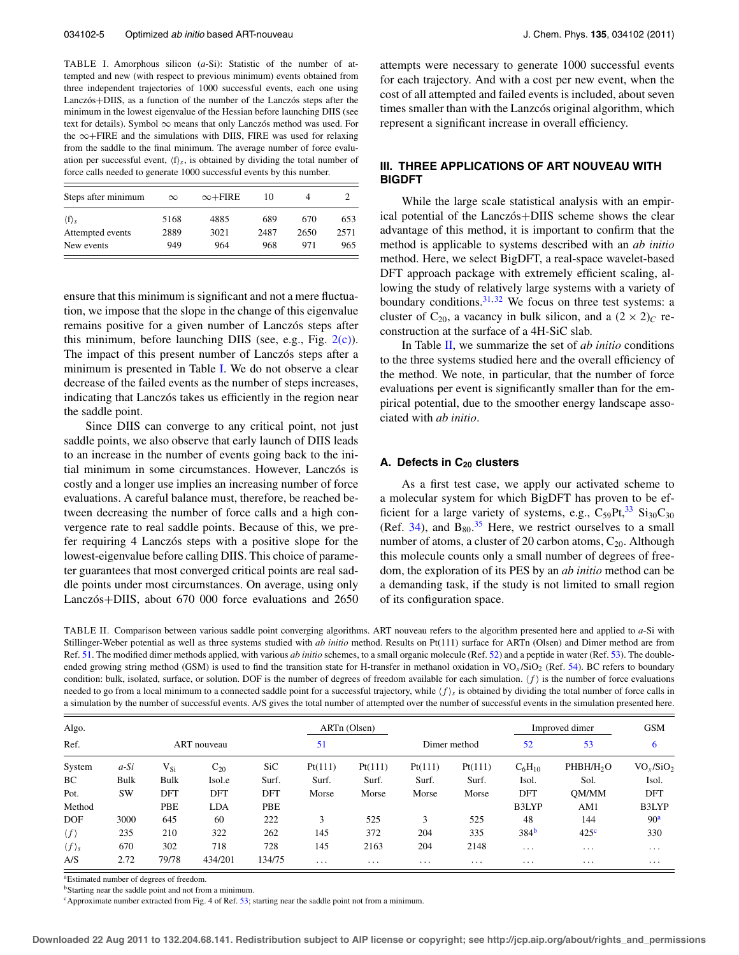<span id="page-4-1"></span>TABLE I. Amorphous silicon (*a*-Si): Statistic of the number of attempted and new (with respect to previous minimum) events obtained from three independent trajectories of 1000 successful events, each one using Lanczós+DIIS, as a function of the number of the Lanczós steps after the minimum in the lowest eigenvalue of the Hessian before launching DIIS (see text for details). Symbol ∞ means that only Lanczós method was used. For the ∞+FIRE and the simulations with DIIS, FIRE was used for relaxing from the saddle to the final minimum. The average number of force evaluation per successful event,  $\langle f \rangle_s$ , is obtained by dividing the total number of force calls needed to generate 1000 successful events by this number.

| Steps after minimum   | $\infty$ | $\infty +$ FIRE | 10   | 4    |      |  |
|-----------------------|----------|-----------------|------|------|------|--|
| $\langle f \rangle_s$ | 5168     | 4885            | 689  | 670  | 653  |  |
| Attempted events      | 2889     | 3021            | 2487 | 2650 | 2571 |  |
| New events            | 949      | 964             | 968  | 971  | 965  |  |

ensure that this minimum is significant and not a mere fluctuation, we impose that the slope in the change of this eigenvalue remains positive for a given number of Lanczós steps after this minimum, before launching DIIS (see, e.g., Fig.  $2(c)$ ). The impact of this present number of Lanczós steps after a minimum is presented in Table [I.](#page-4-1) We do not observe a clear decrease of the failed events as the number of steps increases, indicating that Lanczós takes us efficiently in the region near the saddle point.

Since DIIS can converge to any critical point, not just saddle points, we also observe that early launch of DIIS leads to an increase in the number of events going back to the initial minimum in some circumstances. However, Lanczós is costly and a longer use implies an increasing number of force evaluations. A careful balance must, therefore, be reached between decreasing the number of force calls and a high convergence rate to real saddle points. Because of this, we prefer requiring 4 Lanczós steps with a positive slope for the lowest-eigenvalue before calling DIIS. This choice of parameter guarantees that most converged critical points are real saddle points under most circumstances. On average, using only Lanczós+DIIS, about 670 000 force evaluations and 2650 attempts were necessary to generate 1000 successful events for each trajectory. And with a cost per new event, when the cost of all attempted and failed events is included, about seven times smaller than with the Lanzcós original algorithm, which represent a significant increase in overall efficiency.

# <span id="page-4-0"></span>**III. THREE APPLICATIONS OF ART NOUVEAU WITH BIGDFT**

While the large scale statistical analysis with an empirical potential of the Lanczós+DIIS scheme shows the clear advantage of this method, it is important to confirm that the method is applicable to systems described with an *ab initio* method. Here, we select BigDFT, a real-space wavelet-based DFT approach package with extremely efficient scaling, allowing the study of relatively large systems with a variety of boundary conditions.  $31, 32$  $31, 32$  $31, 32$  We focus on three test systems: a cluster of C<sub>20</sub>, a vacancy in bulk silicon, and a  $(2 \times 2)_C$  reconstruction at the surface of a 4H-SiC slab.

In Table [II,](#page-4-2) we summarize the set of *ab initio* conditions to the three systems studied here and the overall efficiency of the method. We note, in particular, that the number of force evaluations per event is significantly smaller than for the empirical potential, due to the smoother energy landscape associated with *ab initio*.

#### **A. Defects in C20 clusters**

As a first test case, we apply our activated scheme to a molecular system for which BigDFT has proven to be efficient for a large variety of systems, e.g.,  $C_{59}Pt^{33}$  $C_{59}Pt^{33}$  $C_{59}Pt^{33}$ ,  $Si_{30}C_{30}$ (Ref. [34\)](#page-10-31), and  $B_{80}$ .<sup>[35](#page-10-32)</sup> Here, we restrict ourselves to a small number of atoms, a cluster of 20 carbon atoms,  $C_{20}$ . Although this molecule counts only a small number of degrees of freedom, the exploration of its PES by an *ab initio* method can be a demanding task, if the study is not limited to small region of its configuration space.

<span id="page-4-2"></span>TABLE II. Comparison between various saddle point converging algorithms. ART nouveau refers to the algorithm presented here and applied to *a*-Si with Stillinger-Weber potential as well as three systems studied with *ab initio* method. Results on Pt(111) surface for ARTn (Olsen) and Dimer method are from Ref. [51.](#page-10-33) The modified dimer methods applied, with various *ab initio* schemes, to a small organic molecule (Ref. [52\)](#page-10-34) and a peptide in water (Ref. [53\)](#page-10-35). The doubleended growing string method (GSM) is used to find the transition state for H-transfer in methanol oxidation in  $VO<sub>x</sub>/SiO<sub>2</sub>$  (Ref. [54\)](#page-10-36). BC refers to boundary condition: bulk, isolated, surface, or solution. DOF is the number of degrees of freedom available for each simulation.  $\langle f \rangle$  is the number of force evaluations needed to go from a local minimum to a connected saddle point for a successful trajectory, while  $\langle f \rangle_s$  is obtained by dividing the total number of force calls in a simulation by the number of successful events. A/S gives the total number of attempted over the number of successful events in the simulation presented here.

| Algo.                 |           |             |            |        | ART <sub>n</sub> (Olsen) |          |              |          | Improved dimer          |                       | <b>GSM</b><br>6 |
|-----------------------|-----------|-------------|------------|--------|--------------------------|----------|--------------|----------|-------------------------|-----------------------|-----------------|
| Ref.                  |           | ART nouveau |            |        | 51                       |          | Dimer method |          | 52                      | 53                    |                 |
| System                | $a-Si$    | $V_{Si}$    | $C_{20}$   | SiC    | Pt(111)                  | Pt(111)  | Pt(111)      | Pt(111)  | $C_6H_{10}$             | PHBH/H <sub>2</sub> O | $VO_x/SiO_2$    |
| BC                    | Bulk      | Bulk        | Isol.e     | Surf.  | Surf.                    | Surf.    | Surf.        | Surf.    | Isol.                   | Sol.                  | Isol.           |
| Pot.                  | <b>SW</b> | DFT         | DFT        | DFT    | Morse                    | Morse    | Morse        | Morse    | DFT                     | OM/MM                 | DFT             |
| Method                |           | PBE         | <b>LDA</b> | PBE    |                          |          |              |          | B3LYP                   | AM1                   | B3LYP           |
| <b>DOF</b>            | 3000      | 645         | 60         | 222    | 3                        | 525      | 3            | 525      | 48                      | 144                   | 90 <sup>a</sup> |
| $\langle f \rangle$   | 235       | 210         | 322        | 262    | 145                      | 372      | 204          | 335      | 384 <sup>b</sup>        | 425 <sup>c</sup>      | 330             |
| $\langle f \rangle_s$ | 670       | 302         | 718        | 728    | 145                      | 2163     | 204          | 2148     | $\cdot$ $\cdot$ $\cdot$ | $\cdot$               | $\cdot$         |
| A/S                   | 2.72      | 79/78       | 434/201    | 134/75 | $\cdots$                 | $\cdots$ | $\cdot$      | $\cdots$ | $\cdots$                | $\cdot$               | $\cdots$        |

<sup>a</sup>Estimated number of degrees of freedom.

<span id="page-4-3"></span><sup>b</sup>Starting near the saddle point and not from a minimum.

<span id="page-4-5"></span><span id="page-4-4"></span><sup>c</sup>Approximate number extracted from Fig. 4 of Ref. [53;](#page-10-35) starting near the saddle point not from a minimum.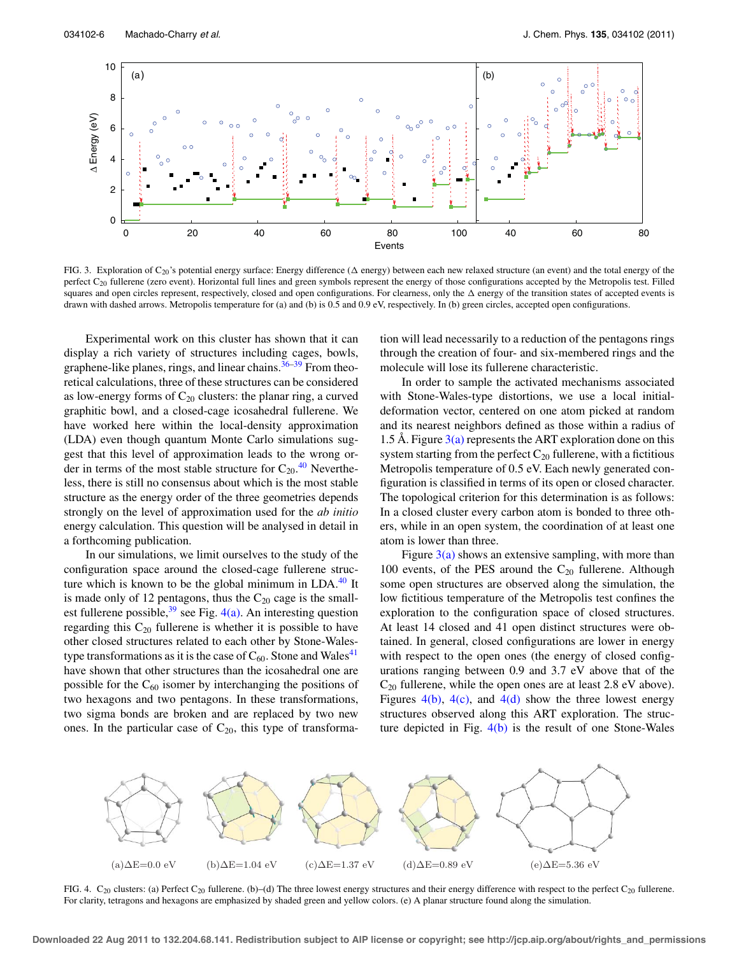<span id="page-5-1"></span>

FIG. 3. Exploration of  $C_{20}$ 's potential energy surface: Energy difference ( $\Delta$  energy) between each new relaxed structure (an event) and the total energy of the perfect C<sub>20</sub> fullerene (zero event). Horizontal full lines and green symbols represent the energy of those configurations accepted by the Metropolis test. Filled squares and open circles represent, respectively, closed and open configurations. For clearness, only the  $\Delta$  energy of the transition states of accepted events is drawn with dashed arrows. Metropolis temperature for (a) and (b) is 0.5 and 0.9 eV, respectively. In (b) green circles, accepted open configurations.

Experimental work on this cluster has shown that it can display a rich variety of structures including cages, bowls, graphene-like planes, rings, and linear chains.  $36-39$  $36-39$  From theoretical calculations, three of these structures can be considered as low-energy forms of  $C_{20}$  clusters: the planar ring, a curved graphitic bowl, and a closed-cage icosahedral fullerene. We have worked here within the local-density approximation (LDA) even though quantum Monte Carlo simulations suggest that this level of approximation leads to the wrong order in terms of the most stable structure for  $C_{20}$ .<sup>[40](#page-10-39)</sup> Nevertheless, there is still no consensus about which is the most stable structure as the energy order of the three geometries depends strongly on the level of approximation used for the *ab initio* energy calculation. This question will be analysed in detail in a forthcoming publication.

In our simulations, we limit ourselves to the study of the configuration space around the closed-cage fullerene structure which is known to be the global minimum in  $LDA<sup>40</sup>$  $LDA<sup>40</sup>$  $LDA<sup>40</sup>$  It is made only of 12 pentagons, thus the  $C_{20}$  cage is the smallest fullerene possible,  $39$  see Fig. [4\(a\).](#page-5-0) An interesting question regarding this  $C_{20}$  fullerene is whether it is possible to have other closed structures related to each other by Stone-Walestype transformations as it is the case of  $C_{60}$ . Stone and Wales<sup>41</sup> have shown that other structures than the icosahedral one are possible for the  $C_{60}$  isomer by interchanging the positions of two hexagons and two pentagons. In these transformations, two sigma bonds are broken and are replaced by two new ones. In the particular case of  $C_{20}$ , this type of transformation will lead necessarily to a reduction of the pentagons rings through the creation of four- and six-membered rings and the molecule will lose its fullerene characteristic.

In order to sample the activated mechanisms associated with Stone-Wales-type distortions, we use a local initialdeformation vector, centered on one atom picked at random and its nearest neighbors defined as those within a radius of 1.5 Å. Figure  $3(a)$  represents the ART exploration done on this system starting from the perfect  $C_{20}$  fullerene, with a fictitious Metropolis temperature of 0.5 eV. Each newly generated configuration is classified in terms of its open or closed character. The topological criterion for this determination is as follows: In a closed cluster every carbon atom is bonded to three others, while in an open system, the coordination of at least one atom is lower than three.

Figure  $3(a)$  shows an extensive sampling, with more than 100 events, of the PES around the  $C_{20}$  fullerene. Although some open structures are observed along the simulation, the low fictitious temperature of the Metropolis test confines the exploration to the configuration space of closed structures. At least 14 closed and 41 open distinct structures were obtained. In general, closed configurations are lower in energy with respect to the open ones (the energy of closed configurations ranging between 0.9 and 3.7 eV above that of the  $C_{20}$  fullerene, while the open ones are at least 2.8 eV above). Figures  $4(b)$ ,  $4(c)$ , and  $4(d)$  show the three lowest energy structures observed along this ART exploration. The structure depicted in Fig.  $4(b)$  is the result of one Stone-Wales

<span id="page-5-0"></span>

FIG. 4.  $C_{20}$  clusters: (a) Perfect  $C_{20}$  fullerene. (b)–(d) The three lowest energy structures and their energy difference with respect to the perfect  $C_{20}$  fullerene. For clarity, tetragons and hexagons are emphasized by shaded green and yellow colors. (e) A planar structure found along the simulation.

**Downloaded 22 Aug 2011 to 132.204.68.141. Redistribution subject to AIP license or copyright; see http://jcp.aip.org/about/rights\_and\_permissions**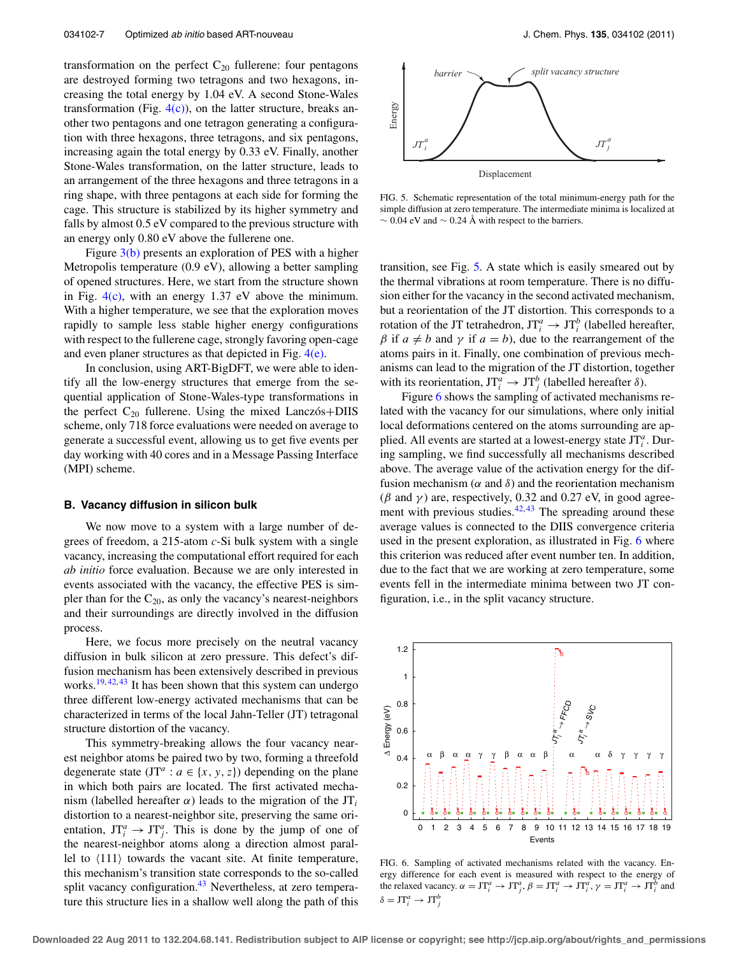transformation on the perfect  $C_{20}$  fullerene: four pentagons are destroyed forming two tetragons and two hexagons, increasing the total energy by 1.04 eV. A second Stone-Wales transformation (Fig.  $4(c)$ ), on the latter structure, breaks another two pentagons and one tetragon generating a configuration with three hexagons, three tetragons, and six pentagons, increasing again the total energy by 0.33 eV. Finally, another Stone-Wales transformation, on the latter structure, leads to an arrangement of the three hexagons and three tetragons in a ring shape, with three pentagons at each side for forming the cage. This structure is stabilized by its higher symmetry and falls by almost 0.5 eV compared to the previous structure with an energy only 0.80 eV above the fullerene one.

Figure [3\(b\)](#page-5-1) presents an exploration of PES with a higher Metropolis temperature (0.9 eV), allowing a better sampling of opened structures. Here, we start from the structure shown in Fig.  $4(c)$ , with an energy 1.37 eV above the minimum. With a higher temperature, we see that the exploration moves rapidly to sample less stable higher energy configurations with respect to the fullerene cage, strongly favoring open-cage and even planer structures as that depicted in Fig. [4\(e\).](#page-5-0)

In conclusion, using ART-BigDFT, we were able to identify all the low-energy structures that emerge from the sequential application of Stone-Wales-type transformations in the perfect  $C_{20}$  fullerene. Using the mixed Lanczós+DIIS scheme, only 718 force evaluations were needed on average to generate a successful event, allowing us to get five events per day working with 40 cores and in a Message Passing Interface (MPI) scheme.

#### **B. Vacancy diffusion in silicon bulk**

We now move to a system with a large number of degrees of freedom, a 215-atom *c*-Si bulk system with a single vacancy, increasing the computational effort required for each *ab initio* force evaluation. Because we are only interested in events associated with the vacancy, the effective PES is simpler than for the  $C_{20}$ , as only the vacancy's nearest-neighbors and their surroundings are directly involved in the diffusion process.

Here, we focus more precisely on the neutral vacancy diffusion in bulk silicon at zero pressure. This defect's diffusion mechanism has been extensively described in previous works.<sup>19, [42,](#page-10-41) [43](#page-10-42)</sup> It has been shown that this system can undergo three different low-energy activated mechanisms that can be characterized in terms of the local Jahn-Teller (JT) tetragonal structure distortion of the vacancy.

This symmetry-breaking allows the four vacancy nearest neighbor atoms be paired two by two, forming a threefold degenerate state (JT<sup>*a*</sup> :  $a \in \{x, y, z\}$ ) depending on the plane in which both pairs are located. The first activated mechanism (labelled hereafter  $\alpha$ ) leads to the migration of the JT<sub>*i*</sub> distortion to a nearest-neighbor site, preserving the same orientation,  $JT_i^a \rightarrow JT_j^a$ . This is done by the jump of one of the nearest-neighbor atoms along a direction almost parallel to  $\langle 111 \rangle$  towards the vacant site. At finite temperature, this mechanism's transition state corresponds to the so-called split vacancy configuration.<sup>[43](#page-10-42)</sup> Nevertheless, at zero temperature this structure lies in a shallow well along the path of this

<span id="page-6-0"></span>

FIG. 5. Schematic representation of the total minimum-energy path for the simple diffusion at zero temperature. The intermediate minima is localized at  $\sim$  0.04 eV and  $\sim$  0.24 Å with respect to the barriers.

transition, see Fig. [5.](#page-6-0) A state which is easily smeared out by the thermal vibrations at room temperature. There is no diffusion either for the vacancy in the second activated mechanism, but a reorientation of the JT distortion. This corresponds to a rotation of the JT tetrahedron,  $JT_i^a \rightarrow JT_i^b$  (labelled hereafter,  $β$  if  $a ≠ b$  and  $γ$  if  $a = b$ ), due to the rearrangement of the atoms pairs in it. Finally, one combination of previous mechanisms can lead to the migration of the JT distortion, together with its reorientation,  $JT_i^a \to JT_j^b$  (labelled hereafter  $\delta$ ).

Figure [6](#page-6-1) shows the sampling of activated mechanisms related with the vacancy for our simulations, where only initial local deformations centered on the atoms surrounding are applied. All events are started at a lowest-energy state JT*<sup>a</sup> <sup>i</sup>* . During sampling, we find successfully all mechanisms described above. The average value of the activation energy for the diffusion mechanism ( $\alpha$  and  $\delta$ ) and the reorientation mechanism ( $\beta$  and  $\gamma$ ) are, respectively, 0.32 and 0.27 eV, in good agreement with previous studies. $42, 43$  $42, 43$  $42, 43$  The spreading around these average values is connected to the DIIS convergence criteria used in the present exploration, as illustrated in Fig. [6](#page-6-1) where this criterion was reduced after event number ten. In addition, due to the fact that we are working at zero temperature, some events fell in the intermediate minima between two JT configuration, i.e., in the split vacancy structure.

<span id="page-6-1"></span>

FIG. 6. Sampling of activated mechanisms related with the vacancy. Energy difference for each event is measured with respect to the energy of the relaxed vacancy.  $\alpha = JT_i^a \rightarrow JT_j^a$ ,  $\beta = JT_i^a \rightarrow JT_i^a$ ,  $\gamma = JT_i^a \rightarrow JT_i^b$  and  $\delta = \mathrm{JT}^a_i \to \mathrm{JT}^b_j$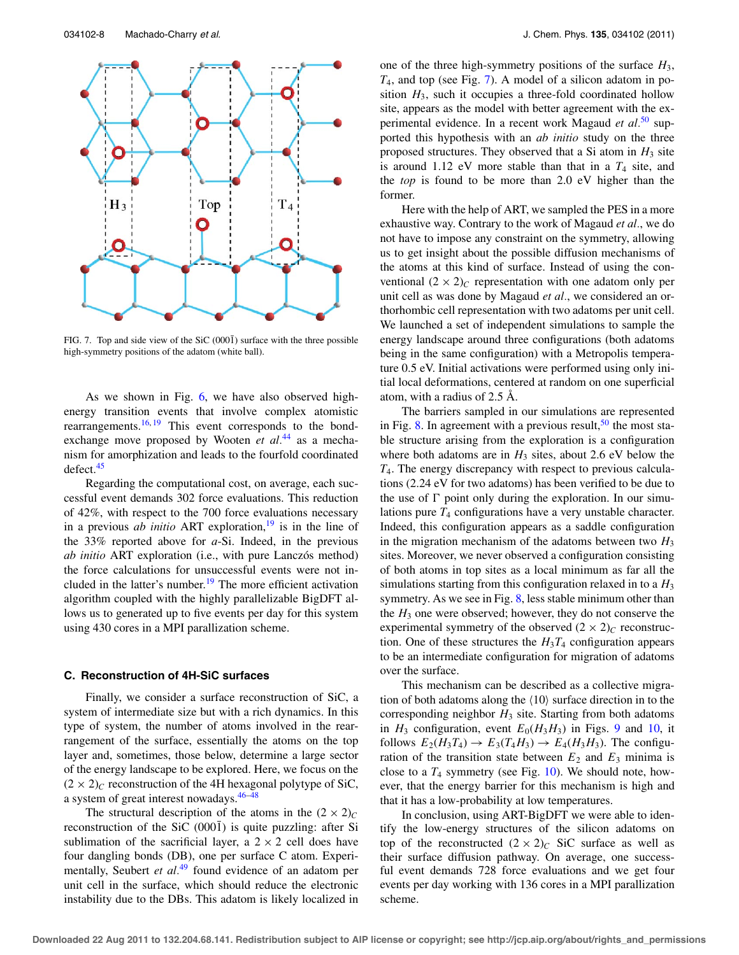<span id="page-7-0"></span>

FIG. 7. Top and side view of the SiC  $(000\bar{1})$  surface with the three possible high-symmetry positions of the adatom (white ball).

As we shown in Fig. [6,](#page-6-1) we have also observed highenergy transition events that involve complex atomistic rearrangements.<sup>16, [19](#page-10-18)</sup> This event corresponds to the bondexchange move proposed by Wooten *et al.*<sup>[44](#page-10-43)</sup> as a mechanism for amorphization and leads to the fourfold coordinated defect.[45](#page-10-44)

Regarding the computational cost, on average, each successful event demands 302 force evaluations. This reduction of 42%, with respect to the 700 force evaluations necessary in a previous *ab initio* ART exploration,  $\frac{19}{19}$  $\frac{19}{19}$  $\frac{19}{19}$  is in the line of the 33% reported above for *a*-Si. Indeed, in the previous *ab initio* ART exploration (i.e., with pure Lanczós method) the force calculations for unsuccessful events were not in-cluded in the latter's number.<sup>[19](#page-10-18)</sup> The more efficient activation algorithm coupled with the highly parallelizable BigDFT allows us to generated up to five events per day for this system using 430 cores in a MPI parallization scheme.

# **C. Reconstruction of 4H-SiC surfaces**

Finally, we consider a surface reconstruction of SiC, a system of intermediate size but with a rich dynamics. In this type of system, the number of atoms involved in the rearrangement of the surface, essentially the atoms on the top layer and, sometimes, those below, determine a large sector of the energy landscape to be explored. Here, we focus on the  $(2 \times 2)_C$  reconstruction of the 4H hexagonal polytype of SiC, a system of great interest nowadays.<sup>[46–](#page-10-45)[48](#page-10-46)</sup>

The structural description of the atoms in the  $(2 \times 2)_C$ reconstruction of the SiC  $(000\bar{1})$  is quite puzzling: after Si sublimation of the sacrificial layer, a  $2 \times 2$  cell does have four dangling bonds (DB), one per surface C atom. Experimentally, Seubert *et al.*[49](#page-10-47) found evidence of an adatom per unit cell in the surface, which should reduce the electronic instability due to the DBs. This adatom is likely localized in one of the three high-symmetry positions of the surface *H*3, *T*4, and top (see Fig. [7\)](#page-7-0). A model of a silicon adatom in position  $H_3$ , such it occupies a three-fold coordinated hollow site, appears as the model with better agreement with the experimental evidence. In a recent work Magaud *et al.*[50](#page-10-48) supported this hypothesis with an *ab initio* study on the three proposed structures. They observed that a Si atom in  $H_3$  site is around 1.12 eV more stable than that in a  $T_4$  site, and the *top* is found to be more than 2.0 eV higher than the former.

Here with the help of ART, we sampled the PES in a more exhaustive way. Contrary to the work of Magaud *et al.*, we do not have to impose any constraint on the symmetry, allowing us to get insight about the possible diffusion mechanisms of the atoms at this kind of surface. Instead of using the conventional  $(2 \times 2)_C$  representation with one adatom only per unit cell as was done by Magaud *et al.*, we considered an orthorhombic cell representation with two adatoms per unit cell. We launched a set of independent simulations to sample the energy landscape around three configurations (both adatoms being in the same configuration) with a Metropolis temperature 0.5 eV. Initial activations were performed using only initial local deformations, centered at random on one superficial atom, with a radius of 2.5 Å.

The barriers sampled in our simulations are represented in Fig. [8.](#page-8-0) In agreement with a previous result,  $50$  the most stable structure arising from the exploration is a configuration where both adatoms are in  $H_3$  sites, about 2.6 eV below the *T*4. The energy discrepancy with respect to previous calculations (2.24 eV for two adatoms) has been verified to be due to the use of  $\Gamma$  point only during the exploration. In our simulations pure *T*<sup>4</sup> configurations have a very unstable character. Indeed, this configuration appears as a saddle configuration in the migration mechanism of the adatoms between two  $H_3$ sites. Moreover, we never observed a configuration consisting of both atoms in top sites as a local minimum as far all the simulations starting from this configuration relaxed in to a  $H_3$ symmetry. As we see in Fig. [8,](#page-8-0) less stable minimum other than the  $H_3$  one were observed; however, they do not conserve the experimental symmetry of the observed  $(2 \times 2)_C$  reconstruction. One of these structures the  $H_3T_4$  configuration appears to be an intermediate configuration for migration of adatoms over the surface.

This mechanism can be described as a collective migration of both adatoms along the  $(10)$  surface direction in to the corresponding neighbor  $H_3$  site. Starting from both adatoms in  $H_3$  configuration, event  $E_0(H_3H_3)$  in Figs. [9](#page-8-1) and [10,](#page-9-0) it follows  $E_2(H_3T_4) \rightarrow E_3(T_4H_3) \rightarrow E_4(H_3H_3)$ . The configuration of the transition state between  $E_2$  and  $E_3$  minima is close to a  $T_4$  symmetry (see Fig. [10\)](#page-9-0). We should note, however, that the energy barrier for this mechanism is high and that it has a low-probability at low temperatures.

In conclusion, using ART-BigDFT we were able to identify the low-energy structures of the silicon adatoms on top of the reconstructed  $(2 \times 2)_C$  SiC surface as well as their surface diffusion pathway. On average, one successful event demands 728 force evaluations and we get four events per day working with 136 cores in a MPI parallization scheme.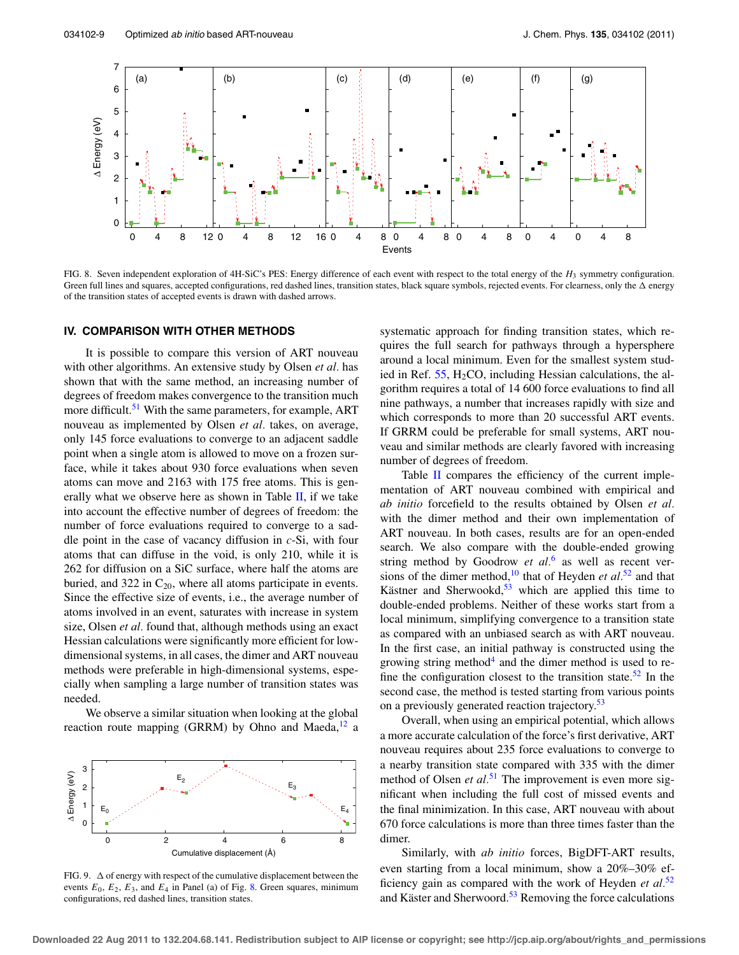<span id="page-8-0"></span>

FIG. 8. Seven independent exploration of 4H-SiC's PES: Energy difference of each event with respect to the total energy of the *H*<sub>3</sub> symmetry configuration. Green full lines and squares, accepted configurations, red dashed lines, transition states, black square symbols, rejected events. For clearness, only the  $\Delta$  energy of the transition states of accepted events is drawn with dashed arrows.

#### **IV. COMPARISON WITH OTHER METHODS**

It is possible to compare this version of ART nouveau with other algorithms. An extensive study by Olsen *et al.* has shown that with the same method, an increasing number of degrees of freedom makes convergence to the transition much more difficult.<sup>51</sup> With the same parameters, for example, ART nouveau as implemented by Olsen *et al.* takes, on average, only 145 force evaluations to converge to an adjacent saddle point when a single atom is allowed to move on a frozen surface, while it takes about 930 force evaluations when seven atoms can move and 2163 with 175 free atoms. This is generally what we observe here as shown in Table  $II$ , if we take into account the effective number of degrees of freedom: the number of force evaluations required to converge to a saddle point in the case of vacancy diffusion in *c*-Si, with four atoms that can diffuse in the void, is only 210, while it is 262 for diffusion on a SiC surface, where half the atoms are buried, and 322 in  $C_{20}$ , where all atoms participate in events. Since the effective size of events, i.e., the average number of atoms involved in an event, saturates with increase in system size, Olsen *et al.* found that, although methods using an exact Hessian calculations were significantly more efficient for lowdimensional systems, in all cases, the dimer and ART nouveau methods were preferable in high-dimensional systems, especially when sampling a large number of transition states was needed.

We observe a similar situation when looking at the global reaction route mapping (GRRM) by Ohno and Maeda,<sup>[12](#page-10-10)</sup> a

<span id="page-8-1"></span>

FIG. 9.  $\Delta$  of energy with respect of the cumulative displacement between the events  $E_0$ ,  $E_2$ ,  $E_3$ , and  $E_4$  in Panel (a) of Fig. [8.](#page-8-0) Green squares, minimum configurations, red dashed lines, transition states.

systematic approach for finding transition states, which requires the full search for pathways through a hypersphere around a local minimum. Even for the smallest system studied in Ref.  $55$ , H<sub>2</sub>CO, including Hessian calculations, the algorithm requires a total of 14 600 force evaluations to find all nine pathways, a number that increases rapidly with size and which corresponds to more than 20 successful ART events. If GRRM could be preferable for small systems, ART nouveau and similar methods are clearly favored with increasing number of degrees of freedom.

Table [II](#page-4-2) compares the efficiency of the current implementation of ART nouveau combined with empirical and *ab initio* forcefield to the results obtained by Olsen *et al.* with the dimer method and their own implementation of ART nouveau. In both cases, results are for an open-ended search. We also compare with the double-ended growing string method by Goodrow *et al.*<sup>[6](#page-10-4)</sup> as well as recent ver-sions of the dimer method,<sup>[10](#page-10-8)</sup> that of Heyden *et al.*<sup>[52](#page-10-34)</sup> and that Kästner and Sherwookd, $53$  which are applied this time to double-ended problems. Neither of these works start from a local minimum, simplifying convergence to a transition state as compared with an unbiased search as with ART nouveau. In the first case, an initial pathway is constructed using the growing string method $4$  and the dimer method is used to re-fine the configuration closest to the transition state.<sup>[52](#page-10-34)</sup> In the second case, the method is tested starting from various points on a previously generated reaction trajectory.<sup>53</sup>

Overall, when using an empirical potential, which allows a more accurate calculation of the force's first derivative, ART nouveau requires about 235 force evaluations to converge to a nearby transition state compared with 335 with the dimer method of Olsen *et al.*<sup>[51](#page-10-33)</sup> The improvement is even more significant when including the full cost of missed events and the final minimization. In this case, ART nouveau with about 670 force calculations is more than three times faster than the dimer.

Similarly, with *ab initio* forces, BigDFT-ART results, even starting from a local minimum, show a 20%–30% efficiency gain as compared with the work of Heyden *et al.*[52](#page-10-34) and Käster and Sherwoord.<sup>53</sup> Removing the force calculations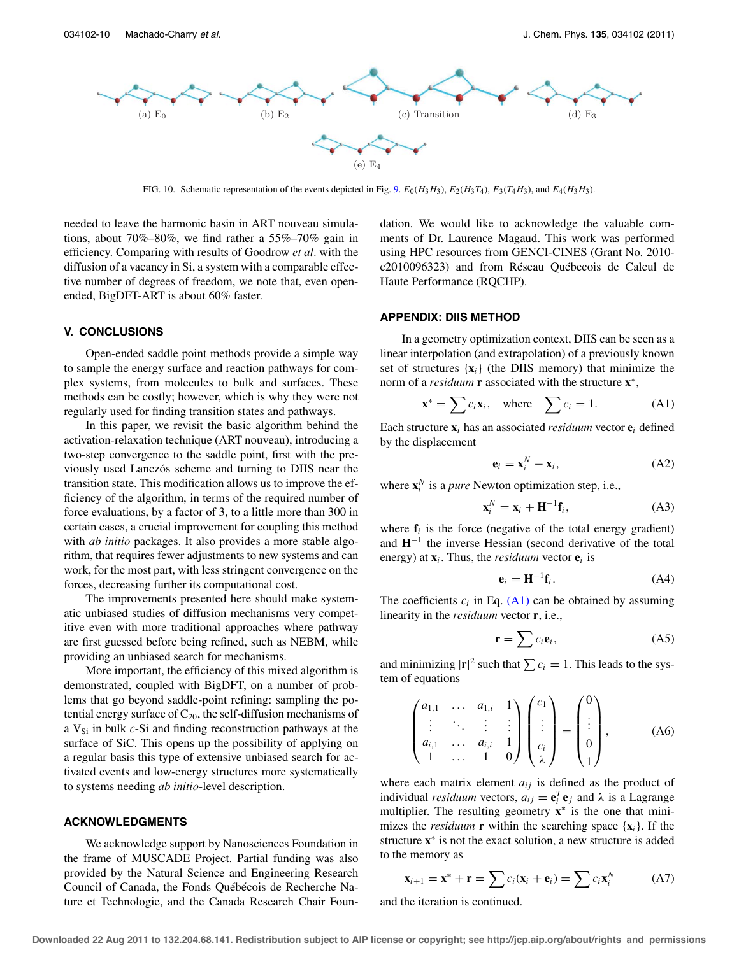<span id="page-9-0"></span>

FIG. 10. Schematic representation of the events depicted in Fig. [9.](#page-8-1)  $E_0(H_3H_3)$ ,  $E_2(H_3T_4)$ ,  $E_3(T_4H_3)$ , and  $E_4(H_3H_3)$ .

needed to leave the harmonic basin in ART nouveau simulations, about 70%–80%, we find rather a 55%–70% gain in efficiency. Comparing with results of Goodrow *et al.* with the diffusion of a vacancy in Si, a system with a comparable effective number of degrees of freedom, we note that, even openended, BigDFT-ART is about 60% faster.

# **V. CONCLUSIONS**

Open-ended saddle point methods provide a simple way to sample the energy surface and reaction pathways for complex systems, from molecules to bulk and surfaces. These methods can be costly; however, which is why they were not regularly used for finding transition states and pathways.

In this paper, we revisit the basic algorithm behind the activation-relaxation technique (ART nouveau), introducing a two-step convergence to the saddle point, first with the previously used Lanczós scheme and turning to DIIS near the transition state. This modification allows us to improve the efficiency of the algorithm, in terms of the required number of force evaluations, by a factor of 3, to a little more than 300 in certain cases, a crucial improvement for coupling this method with *ab initio* packages. It also provides a more stable algorithm, that requires fewer adjustments to new systems and can work, for the most part, with less stringent convergence on the forces, decreasing further its computational cost.

The improvements presented here should make systematic unbiased studies of diffusion mechanisms very competitive even with more traditional approaches where pathway are first guessed before being refined, such as NEBM, while providing an unbiased search for mechanisms.

More important, the efficiency of this mixed algorithm is demonstrated, coupled with BigDFT, on a number of problems that go beyond saddle-point refining: sampling the potential energy surface of  $C_{20}$ , the self-diffusion mechanisms of a  $V_{Si}$  in bulk  $c-Si$  and finding reconstruction pathways at the surface of SiC. This opens up the possibility of applying on a regular basis this type of extensive unbiased search for activated events and low-energy structures more systematically to systems needing *ab initio*-level description.

# **ACKNOWLEDGMENTS**

We acknowledge support by Nanosciences Foundation in the frame of MUSCADE Project. Partial funding was also provided by the Natural Science and Engineering Research Council of Canada, the Fonds Québécois de Recherche Nature et Technologie, and the Canada Research Chair Foundation. We would like to acknowledge the valuable comments of Dr. Laurence Magaud. This work was performed using HPC resources from GENCI-CINES (Grant No. 2010 c2010096323) and from Réseau Québecois de Calcul de Haute Performance (RQCHP).

# **APPENDIX: DIIS METHOD**

In a geometry optimization context, DIIS can be seen as a linear interpolation (and extrapolation) of a previously known set of structures  $\{x_i\}$  (the DIIS memory) that minimize the norm of a *residuum* **r** associated with the structure **x**∗,

<span id="page-9-1"></span>
$$
\mathbf{x}^* = \sum c_i \mathbf{x}_i, \quad \text{where} \quad \sum c_i = 1. \tag{A1}
$$

Each structure  $\mathbf{x}_i$  has an associated *residuum* vector  $\mathbf{e}_i$  defined by the displacement

$$
\mathbf{e}_i = \mathbf{x}_i^N - \mathbf{x}_i,\tag{A2}
$$

where  $\mathbf{x}_i^N$  is a *pure* Newton optimization step, i.e.,

$$
\mathbf{x}_i^N = \mathbf{x}_i + \mathbf{H}^{-1} \mathbf{f}_i,\tag{A3}
$$

where  $f_i$  is the force (negative of the total energy gradient) and **H**−<sup>1</sup> the inverse Hessian (second derivative of the total energy) at  $\mathbf{x}_i$ . Thus, the *residuum* vector  $\mathbf{e}_i$  is

$$
\mathbf{e}_i = \mathbf{H}^{-1} \mathbf{f}_i. \tag{A4}
$$

The coefficients  $c_i$  in Eq.  $(A1)$  can be obtained by assuming linearity in the *residuum* vector **r**, i.e.,

$$
\mathbf{r} = \sum c_i \mathbf{e}_i,\tag{A5}
$$

and minimizing  $|\mathbf{r}|^2$  such that  $\sum c_i = 1$ . This leads to the system of equations

$$
\begin{pmatrix} a_{1,1} & \dots & a_{1,i} & 1 \\ \vdots & \ddots & \vdots & \vdots \\ a_{i,1} & \dots & a_{i,i} & 1 \\ 1 & \dots & 1 & 0 \end{pmatrix} \begin{pmatrix} c_1 \\ \vdots \\ c_i \\ \lambda \end{pmatrix} = \begin{pmatrix} 0 \\ \vdots \\ 0 \\ 1 \end{pmatrix}, \quad (A6)
$$

where each matrix element  $a_{ij}$  is defined as the product of individual *residuum* vectors,  $a_{ij} = e_i^T e_j$  and  $\lambda$  is a Lagrange multiplier. The resulting geometry **x**<sup>∗</sup> is the one that minimizes the *residuum* **r** within the searching space  $\{x_i\}$ . If the structure **x**<sup>∗</sup> is not the exact solution, a new structure is added to the memory as

$$
\mathbf{x}_{i+1} = \mathbf{x}^* + \mathbf{r} = \sum c_i (\mathbf{x}_i + \mathbf{e}_i) = \sum c_i \mathbf{x}_i^N \tag{A7}
$$

and the iteration is continued.